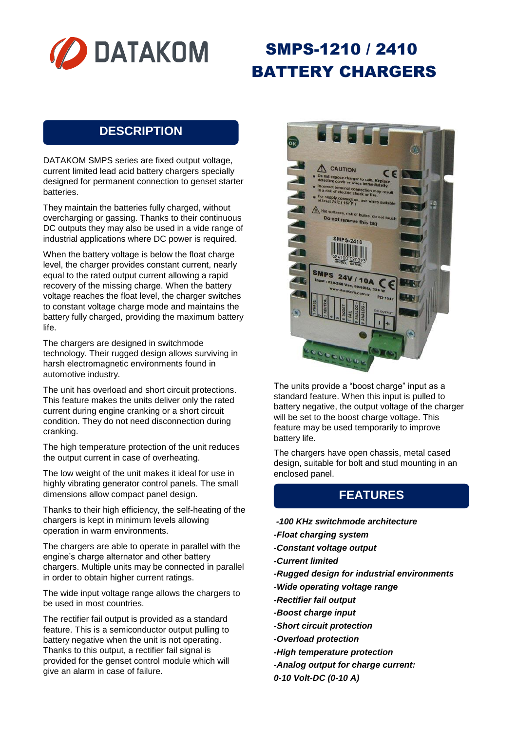

# SMPS-1210 / 2410 BATTERY CHARGERS

#### **DESCRIPTION**

DATAKOM SMPS series are fixed output voltage, current limited lead acid battery chargers specially designed for permanent connection to genset starter batteries.

They maintain the batteries fully charged, without overcharging or gassing. Thanks to their continuous DC outputs they may also be used in a vide range of industrial applications where DC power is required.

When the battery voltage is below the float charge level, the charger provides constant current, nearly equal to the rated output current allowing a rapid recovery of the missing charge. When the battery voltage reaches the float level, the charger switches to constant voltage charge mode and maintains the battery fully charged, providing the maximum battery life.

The chargers are designed in switchmode technology. Their rugged design allows surviving in harsh electromagnetic environments found in automotive industry.

The unit has overload and short circuit protections. This feature makes the units deliver only the rated current during engine cranking or a short circuit condition. They do not need disconnection during cranking.

The high temperature protection of the unit reduces the output current in case of overheating.

The low weight of the unit makes it ideal for use in highly vibrating generator control panels. The small dimensions allow compact panel design.

Thanks to their high efficiency, the self-heating of the chargers is kept in minimum levels allowing operation in warm environments.

The chargers are able to operate in parallel with the engine's charge alternator and other battery chargers. Multiple units may be connected in parallel in order to obtain higher current ratings.

The wide input voltage range allows the chargers to be used in most countries.

The rectifier fail output is provided as a standard feature. This is a semiconductor output pulling to battery negative when the unit is not operating. Thanks to this output, a rectifier fail signal is provided for the genset control module which will give an alarm in case of failure.



The units provide a "boost charge" input as a standard feature. When this input is pulled to battery negative, the output voltage of the charger will be set to the boost charge voltage. This feature may be used temporarily to improve battery life.

The chargers have open chassis, metal cased design, suitable for bolt and stud mounting in an enclosed panel.

#### **FEATURES**

- *-100 KHz switchmode architecture*
- *-Float charging system*
- *-Constant voltage output*
- *-Current limited*
- *-Rugged design for industrial environments*
- *-Wide operating voltage range*
- *-Rectifier fail output*
- *-Boost charge input*
- *-Short circuit protection*
- *-Overload protection*
- *-High temperature protection*
- *-Analog output for charge current:*
- *0-10 Volt-DC (0-10 A)*